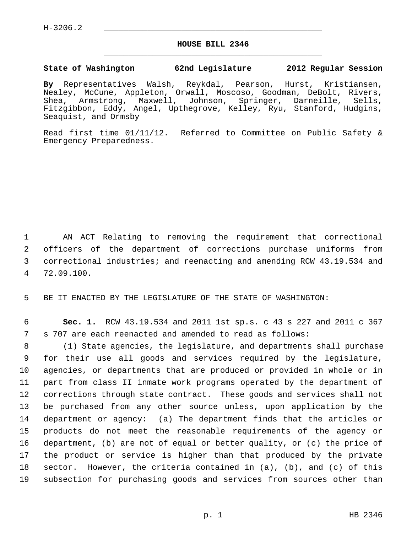$H-3206.2$ 

## **HOUSE BILL 2346** \_\_\_\_\_\_\_\_\_\_\_\_\_\_\_\_\_\_\_\_\_\_\_\_\_\_\_\_\_\_\_\_\_\_\_\_\_\_\_\_\_\_\_\_\_

## **State of Washington 62nd Legislature 2012 Regular Session**

**By** Representatives Walsh, Reykdal, Pearson, Hurst, Kristiansen, Nealey, McCune, Appleton, Orwall, Moscoso, Goodman, DeBolt, Rivers, Shea, Armstrong, Maxwell, Johnson, Springer, Darneille, Sells, Fitzgibbon, Eddy, Angel, Upthegrove, Kelley, Ryu, Stanford, Hudgins, Seaquist, and Ormsby

Read first time 01/11/12. Referred to Committee on Public Safety & Emergency Preparedness.

 1 AN ACT Relating to removing the requirement that correctional 2 officers of the department of corrections purchase uniforms from 3 correctional industries; and reenacting and amending RCW 43.19.534 and 4 72.09.100.

5 BE IT ENACTED BY THE LEGISLATURE OF THE STATE OF WASHINGTON:

 6 **Sec. 1.** RCW 43.19.534 and 2011 1st sp.s. c 43 s 227 and 2011 c 367 7 s 707 are each reenacted and amended to read as follows:

 8 (1) State agencies, the legislature, and departments shall purchase 9 for their use all goods and services required by the legislature, 10 agencies, or departments that are produced or provided in whole or in 11 part from class II inmate work programs operated by the department of 12 corrections through state contract. These goods and services shall not 13 be purchased from any other source unless, upon application by the 14 department or agency: (a) The department finds that the articles or 15 products do not meet the reasonable requirements of the agency or 16 department, (b) are not of equal or better quality, or (c) the price of 17 the product or service is higher than that produced by the private 18 sector. However, the criteria contained in (a), (b), and (c) of this 19 subsection for purchasing goods and services from sources other than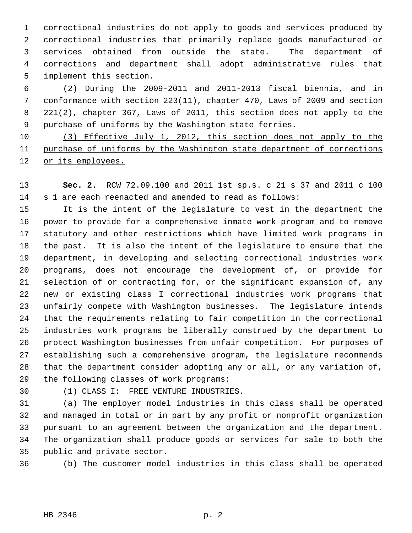1 correctional industries do not apply to goods and services produced by 2 correctional industries that primarily replace goods manufactured or 3 services obtained from outside the state. The department of 4 corrections and department shall adopt administrative rules that 5 implement this section.

 6 (2) During the 2009-2011 and 2011-2013 fiscal biennia, and in 7 conformance with section 223(11), chapter 470, Laws of 2009 and section 8 221(2), chapter 367, Laws of 2011, this section does not apply to the 9 purchase of uniforms by the Washington state ferries.

10 (3) Effective July 1, 2012, this section does not apply to the 11 purchase of uniforms by the Washington state department of corrections 12 or its employees.

13 **Sec. 2.** RCW 72.09.100 and 2011 1st sp.s. c 21 s 37 and 2011 c 100 14 s 1 are each reenacted and amended to read as follows:

15 It is the intent of the legislature to vest in the department the 16 power to provide for a comprehensive inmate work program and to remove 17 statutory and other restrictions which have limited work programs in 18 the past. It is also the intent of the legislature to ensure that the 19 department, in developing and selecting correctional industries work 20 programs, does not encourage the development of, or provide for 21 selection of or contracting for, or the significant expansion of, any 22 new or existing class I correctional industries work programs that 23 unfairly compete with Washington businesses. The legislature intends 24 that the requirements relating to fair competition in the correctional 25 industries work programs be liberally construed by the department to 26 protect Washington businesses from unfair competition. For purposes of 27 establishing such a comprehensive program, the legislature recommends 28 that the department consider adopting any or all, or any variation of, 29 the following classes of work programs:

30 (1) CLASS I: FREE VENTURE INDUSTRIES.

31 (a) The employer model industries in this class shall be operated 32 and managed in total or in part by any profit or nonprofit organization 33 pursuant to an agreement between the organization and the department. 34 The organization shall produce goods or services for sale to both the 35 public and private sector.

36 (b) The customer model industries in this class shall be operated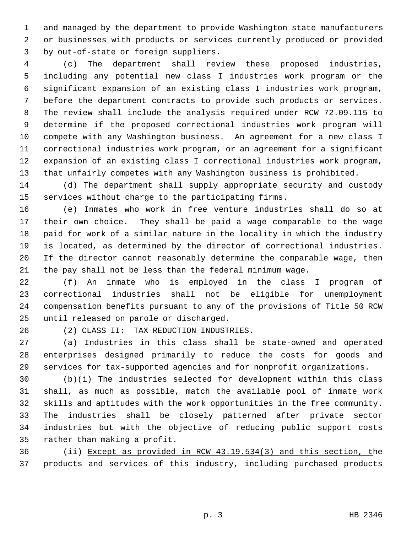1 and managed by the department to provide Washington state manufacturers 2 or businesses with products or services currently produced or provided 3 by out-of-state or foreign suppliers.

 4 (c) The department shall review these proposed industries, 5 including any potential new class I industries work program or the 6 significant expansion of an existing class I industries work program, 7 before the department contracts to provide such products or services. 8 The review shall include the analysis required under RCW 72.09.115 to 9 determine if the proposed correctional industries work program will 10 compete with any Washington business. An agreement for a new class I 11 correctional industries work program, or an agreement for a significant 12 expansion of an existing class I correctional industries work program, 13 that unfairly competes with any Washington business is prohibited.

14 (d) The department shall supply appropriate security and custody 15 services without charge to the participating firms.

16 (e) Inmates who work in free venture industries shall do so at 17 their own choice. They shall be paid a wage comparable to the wage 18 paid for work of a similar nature in the locality in which the industry 19 is located, as determined by the director of correctional industries. 20 If the director cannot reasonably determine the comparable wage, then 21 the pay shall not be less than the federal minimum wage.

22 (f) An inmate who is employed in the class I program of 23 correctional industries shall not be eligible for unemployment 24 compensation benefits pursuant to any of the provisions of Title 50 RCW 25 until released on parole or discharged.

26 (2) CLASS II: TAX REDUCTION INDUSTRIES.

27 (a) Industries in this class shall be state-owned and operated 28 enterprises designed primarily to reduce the costs for goods and 29 services for tax-supported agencies and for nonprofit organizations.

30 (b)(i) The industries selected for development within this class 31 shall, as much as possible, match the available pool of inmate work 32 skills and aptitudes with the work opportunities in the free community. 33 The industries shall be closely patterned after private sector 34 industries but with the objective of reducing public support costs 35 rather than making a profit.

36 (ii) Except as provided in RCW 43.19.534(3) and this section, the 37 products and services of this industry, including purchased products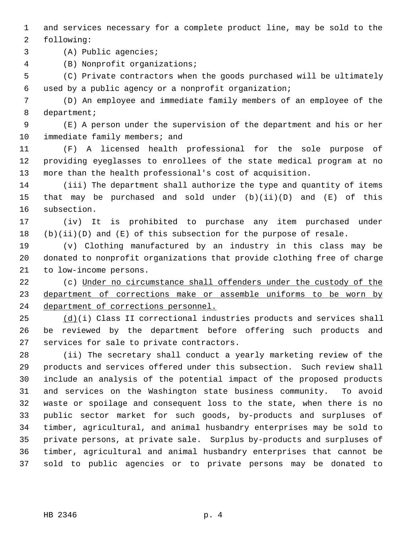1 and services necessary for a complete product line, may be sold to the 2 following:

3 (A) Public agencies;

4 (B) Nonprofit organizations;

 5 (C) Private contractors when the goods purchased will be ultimately 6 used by a public agency or a nonprofit organization;

 7 (D) An employee and immediate family members of an employee of the 8 department;

 9 (E) A person under the supervision of the department and his or her 10 immediate family members; and

11 (F) A licensed health professional for the sole purpose of 12 providing eyeglasses to enrollees of the state medical program at no 13 more than the health professional's cost of acquisition.

14 (iii) The department shall authorize the type and quantity of items 15 that may be purchased and sold under (b)(ii)(D) and (E) of this 16 subsection.

17 (iv) It is prohibited to purchase any item purchased under  $18$  (b)(ii)(D) and (E) of this subsection for the purpose of resale.

19 (v) Clothing manufactured by an industry in this class may be 20 donated to nonprofit organizations that provide clothing free of charge 21 to low-income persons.

22 (c) Under no circumstance shall offenders under the custody of the 23 department of corrections make or assemble uniforms to be worn by 24 department of corrections personnel.

25 (d)(i) Class II correctional industries products and services shall 26 be reviewed by the department before offering such products and 27 services for sale to private contractors.

28 (ii) The secretary shall conduct a yearly marketing review of the 29 products and services offered under this subsection. Such review shall 30 include an analysis of the potential impact of the proposed products 31 and services on the Washington state business community. To avoid 32 waste or spoilage and consequent loss to the state, when there is no 33 public sector market for such goods, by-products and surpluses of 34 timber, agricultural, and animal husbandry enterprises may be sold to 35 private persons, at private sale. Surplus by-products and surpluses of 36 timber, agricultural and animal husbandry enterprises that cannot be 37 sold to public agencies or to private persons may be donated to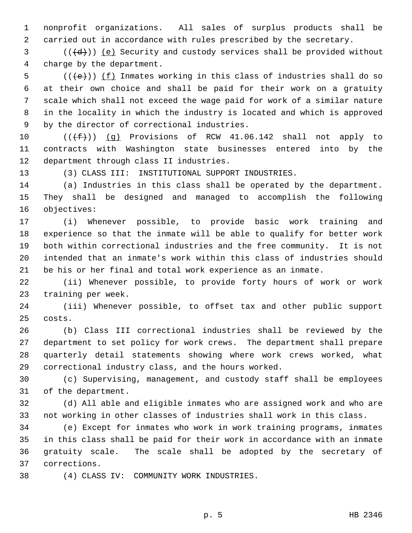1 nonprofit organizations. All sales of surplus products shall be 2 carried out in accordance with rules prescribed by the secretary.

 $3$  (( $\left(\frac{d}{d} \right)$ ) (e) Security and custody services shall be provided without 4 charge by the department.

 $5$  (( $\left(\frac{1}{e}\right)$ ) (f) Inmates working in this class of industries shall do so 6 at their own choice and shall be paid for their work on a gratuity 7 scale which shall not exceed the wage paid for work of a similar nature 8 in the locality in which the industry is located and which is approved 9 by the director of correctional industries.

10  $((\text{+f}))(q)$  Provisions of RCW 41.06.142 shall not apply to 11 contracts with Washington state businesses entered into by the 12 department through class II industries.

13 (3) CLASS III: INSTITUTIONAL SUPPORT INDUSTRIES.

14 (a) Industries in this class shall be operated by the department. 15 They shall be designed and managed to accomplish the following 16 objectives:

17 (i) Whenever possible, to provide basic work training and 18 experience so that the inmate will be able to qualify for better work 19 both within correctional industries and the free community. It is not 20 intended that an inmate's work within this class of industries should 21 be his or her final and total work experience as an inmate.

22 (ii) Whenever possible, to provide forty hours of work or work 23 training per week.

24 (iii) Whenever possible, to offset tax and other public support 25 costs.

26 (b) Class III correctional industries shall be reviewed by the 27 department to set policy for work crews. The department shall prepare 28 quarterly detail statements showing where work crews worked, what 29 correctional industry class, and the hours worked.

30 (c) Supervising, management, and custody staff shall be employees 31 of the department.

32 (d) All able and eligible inmates who are assigned work and who are 33 not working in other classes of industries shall work in this class.

34 (e) Except for inmates who work in work training programs, inmates 35 in this class shall be paid for their work in accordance with an inmate 36 gratuity scale. The scale shall be adopted by the secretary of 37 corrections.

38 (4) CLASS IV: COMMUNITY WORK INDUSTRIES.